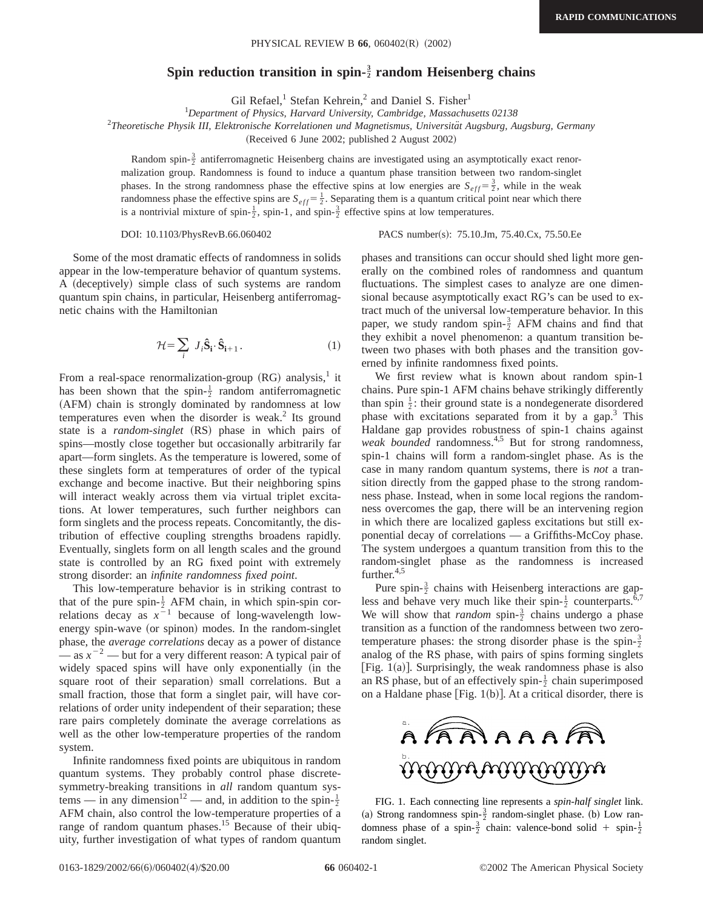## Spin reduction transition in spin- $\frac{3}{2}$  random Heisenberg chains

Gil Refael,<sup>1</sup> Stefan Kehrein,<sup>2</sup> and Daniel S. Fisher<sup>1</sup>

1 *Department of Physics, Harvard University, Cambridge, Massachusetts 02138*

<sup>2</sup>Theoretische Physik III, Elektronische Korrelationen und Magnetismus, Universität Augsburg, Augsburg, Germany

(Received 6 June 2002; published 2 August 2002)

Random spin- $\frac{3}{2}$  antiferromagnetic Heisenberg chains are investigated using an asymptotically exact renormalization group. Randomness is found to induce a quantum phase transition between two random-singlet phases. In the strong randomness phase the effective spins at low energies are  $S_{eff} = \frac{3}{2}$ , while in the weak randomness phase the effective spins are  $S_{eff} = \frac{1}{2}$ . Separating them is a quantum critical point near which there is a nontrivial mixture of spin- $\frac{1}{2}$ , spin-1, and spin- $\frac{3}{2}$  effective spins at low temperatures.

DOI: 10.1103/PhysRevB.66.060402 PACS number(s): 75.10.Jm, 75.40.Cx, 75.50.Ee

Some of the most dramatic effects of randomness in solids appear in the low-temperature behavior of quantum systems. A (deceptively) simple class of such systems are random quantum spin chains, in particular, Heisenberg antiferromagnetic chains with the Hamiltonian

$$
\mathcal{H} = \sum_{i} J_{i} \hat{\mathbf{S}}_{i} \cdot \hat{\mathbf{S}}_{i+1} . \tag{1}
$$

From a real-space renormalization-group  $(RG)$  analysis,<sup>1</sup> it has been shown that the spin- $\frac{1}{2}$  random antiferromagnetic (AFM) chain is strongly dominated by randomness at low temperatures even when the disorder is weak.<sup>2</sup> Its ground state is a *random-singlet* (RS) phase in which pairs of spins—mostly close together but occasionally arbitrarily far apart—form singlets. As the temperature is lowered, some of these singlets form at temperatures of order of the typical exchange and become inactive. But their neighboring spins will interact weakly across them via virtual triplet excitations. At lower temperatures, such further neighbors can form singlets and the process repeats. Concomitantly, the distribution of effective coupling strengths broadens rapidly. Eventually, singlets form on all length scales and the ground state is controlled by an RG fixed point with extremely strong disorder: an *infinite randomness fixed point*.

This low-temperature behavior is in striking contrast to that of the pure spin- $\frac{1}{2}$  AFM chain, in which spin-spin correlations decay as  $x^{-1}$  because of long-wavelength lowenergy spin-wave (or spinon) modes. In the random-singlet phase, the *average correlations* decay as a power of distance  $\sim$  as  $x^{-2}$  — but for a very different reason: A typical pair of widely spaced spins will have only exponentially (in the square root of their separation) small correlations. But a small fraction, those that form a singlet pair, will have correlations of order unity independent of their separation; these rare pairs completely dominate the average correlations as well as the other low-temperature properties of the random system.

Infinite randomness fixed points are ubiquitous in random quantum systems. They probably control phase discretesymmetry-breaking transitions in *all* random quantum systems — in any dimension<sup>12</sup> — and, in addition to the spin- $\frac{1}{2}$ AFM chain, also control the low-temperature properties of a range of random quantum phases.<sup>15</sup> Because of their ubiquity, further investigation of what types of random quantum phases and transitions can occur should shed light more generally on the combined roles of randomness and quantum fluctuations. The simplest cases to analyze are one dimensional because asymptotically exact RG's can be used to extract much of the universal low-temperature behavior. In this paper, we study random spin- $\frac{3}{2}$  AFM chains and find that they exhibit a novel phenomenon: a quantum transition between two phases with both phases and the transition governed by infinite randomness fixed points.

We first review what is known about random spin-1 chains. Pure spin-1 AFM chains behave strikingly differently than spin  $\frac{1}{2}$ : their ground state is a nondegenerate disordered phase with excitations separated from it by a gap.3 This Haldane gap provides robustness of spin-1 chains against *weak bounded* randomness.4,5 But for strong randomness, spin-1 chains will form a random-singlet phase. As is the case in many random quantum systems, there is *not* a transition directly from the gapped phase to the strong randomness phase. Instead, when in some local regions the randomness overcomes the gap, there will be an intervening region in which there are localized gapless excitations but still exponential decay of correlations — a Griffiths-McCoy phase. The system undergoes a quantum transition from this to the random-singlet phase as the randomness is increased further.<sup>4,5</sup>

Pure spin- $\frac{3}{2}$  chains with Heisenberg interactions are gapless and behave very much like their spin- $\frac{1}{2}$  counterparts.<sup>6,7</sup> We will show that *random* spin- $\frac{3}{2}$  chains undergo a phase transition as a function of the randomness between two zerotemperature phases: the strong disorder phase is the spin- $\frac{3}{2}$ analog of the RS phase, with pairs of spins forming singlets [Fig.  $1(a)$ ]. Surprisingly, the weak randomness phase is also an RS phase, but of an effectively spin- $\frac{1}{2}$  chain superimposed on a Haldane phase [Fig.  $1(b)$ ]. At a critical disorder, there is



FIG. 1. Each connecting line represents a *spin-half singlet* link. (a) Strong randomness spin- $\frac{3}{2}$  random-singlet phase. (b) Low randomness phase of a spin- $\frac{3}{2}$  chain: valence-bond solid + spin- $\frac{1}{2}$ random singlet.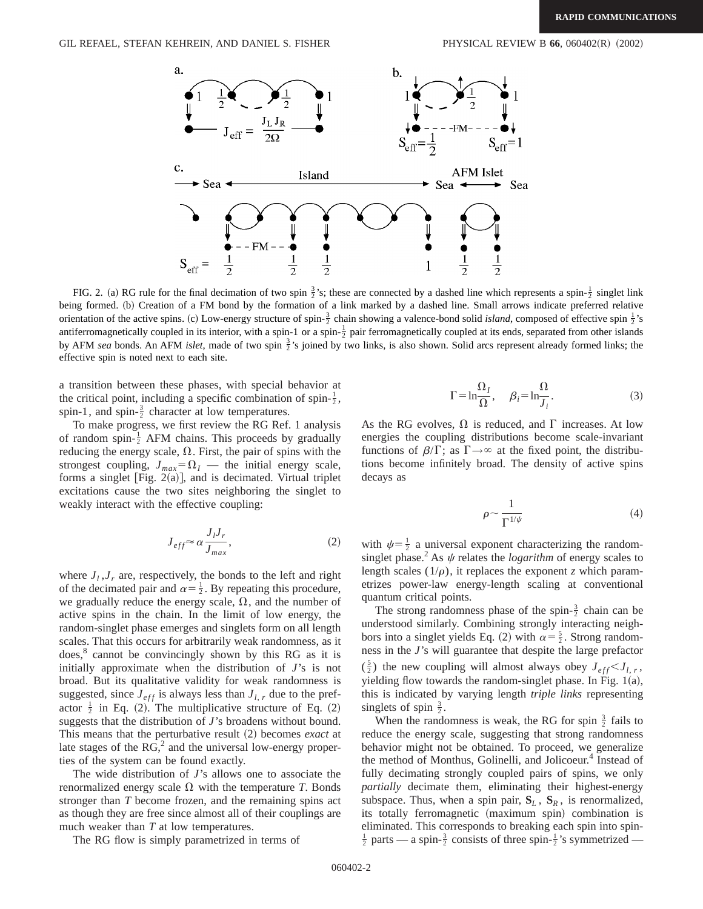

FIG. 2. (a) RG rule for the final decimation of two spin  $\frac{3}{2}$ 's; these are connected by a dashed line which represents a spin- $\frac{1}{2}$  singlet link being formed. (b) Creation of a FM bond by the formation of a link marked by a dashed line. Small arrows indicate preferred relative orientation of the active spins. (c) Low-energy structure of spin- $\frac{3}{2}$  chain showing a valence-bond solid *island*, composed of effective spin  $\frac{1}{2}$ 's antiferromagnetically coupled in its interior, with a spin-1 or a spin- $\frac{1}{2}$  pair ferromagnetically coupled at its ends, separated from other islands by AFM *sea* bonds. An AFM *islet*, made of two spin  $\frac{3}{2}$ 's joined by two links, is also shown. Solid arcs represent already formed links; the effective spin is noted next to each site.

a transition between these phases, with special behavior at the critical point, including a specific combination of spin- $\frac{1}{2}$ , spin-1, and spin- $\frac{3}{2}$  character at low temperatures.

To make progress, we first review the RG Ref. 1 analysis of random spin- $\frac{1}{2}$  AFM chains. This proceeds by gradually reducing the energy scale,  $\Omega$ . First, the pair of spins with the strongest coupling,  $J_{max} = \Omega_I$  — the initial energy scale, forms a singlet [Fig. 2(a)], and is decimated. Virtual triplet excitations cause the two sites neighboring the singlet to weakly interact with the effective coupling:

$$
J_{eff} \approx \alpha \frac{J_I J_r}{J_{max}},\tag{2}
$$

where  $J_l$ ,  $J_r$  are, respectively, the bonds to the left and right of the decimated pair and  $\alpha = \frac{1}{2}$ . By repeating this procedure, we gradually reduce the energy scale,  $\Omega$ , and the number of active spins in the chain. In the limit of low energy, the random-singlet phase emerges and singlets form on all length scales. That this occurs for arbitrarily weak randomness, as it  $does, <sup>8</sup>$  cannot be convincingly shown by this RG as it is initially approximate when the distribution of *J*'s is not broad. But its qualitative validity for weak randomness is suggested, since  $J_{eff}$  is always less than  $J_{l,r}$  due to the prefactor  $\frac{1}{2}$  in Eq. (2). The multiplicative structure of Eq. (2) suggests that the distribution of *J*'s broadens without bound. This means that the perturbative result (2) becomes *exact* at late stages of the  $RG<sub>1</sub><sup>2</sup>$  and the universal low-energy properties of the system can be found exactly.

The wide distribution of *J*'s allows one to associate the renormalized energy scale  $\Omega$  with the temperature *T*. Bonds stronger than *T* become frozen, and the remaining spins act as though they are free since almost all of their couplings are much weaker than *T* at low temperatures.

The RG flow is simply parametrized in terms of

$$
\Gamma = \ln \frac{\Omega_I}{\Omega}, \quad \beta_i = \ln \frac{\Omega}{J_i}.
$$
\n(3)

As the RG evolves,  $\Omega$  is reduced, and  $\Gamma$  increases. At low energies the coupling distributions become scale-invariant functions of  $\beta/\Gamma$ ; as  $\Gamma \rightarrow \infty$  at the fixed point, the distributions become infinitely broad. The density of active spins decays as

$$
\rho \sim \frac{1}{\Gamma^{1/\psi}}\tag{4}
$$

with  $\psi = \frac{1}{2}$  a universal exponent characterizing the randomsinglet phase.<sup>2</sup> As  $\psi$  relates the *logarithm* of energy scales to length scales  $(1/\rho)$ , it replaces the exponent *z* which parametrizes power-law energy-length scaling at conventional quantum critical points.

The strong randomness phase of the spin- $\frac{3}{2}$  chain can be understood similarly. Combining strongly interacting neighbors into a singlet yields Eq. (2) with  $\alpha = \frac{5}{2}$ . Strong randomness in the *J*'s will guarantee that despite the large prefactor  $(\frac{5}{2})$  the new coupling will almost always obey  $J_{eff} < J_{l,r}$ , yielding flow towards the random-singlet phase. In Fig.  $1(a)$ , this is indicated by varying length *triple links* representing singlets of spin  $\frac{3}{2}$ .

When the randomness is weak, the RG for spin  $\frac{3}{2}$  fails to reduce the energy scale, suggesting that strong randomness behavior might not be obtained. To proceed, we generalize the method of Monthus, Golinelli, and Jolicoeur.<sup>4</sup> Instead of fully decimating strongly coupled pairs of spins, we only *partially* decimate them, eliminating their highest-energy subspace. Thus, when a spin pair,  $S_L$ ,  $S_R$ , is renormalized, its totally ferromagnetic (maximum spin) combination is eliminated. This corresponds to breaking each spin into spin- $\frac{1}{2}$  parts — a spin- $\frac{3}{2}$  consists of three spin- $\frac{1}{2}$ 's symmetrized —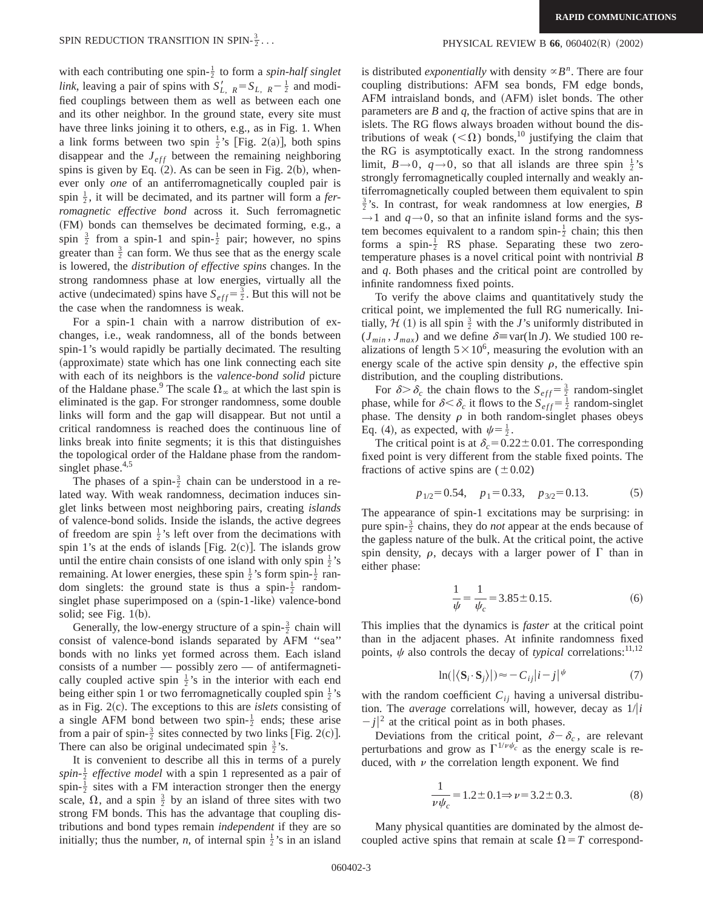with each contributing one spin- $\frac{1}{2}$  to form a *spin-half singlet link*, leaving a pair of spins with  $S_{L, R}$  =  $S_{L, R}$  -  $\frac{1}{2}$  and modified couplings between them as well as between each one and its other neighbor. In the ground state, every site must have three links joining it to others, e.g., as in Fig. 1. When a link forms between two spin  $\frac{1}{2}$ 's [Fig. 2(a)], both spins disappear and the  $J_{eff}$  between the remaining neighboring spins is given by Eq.  $(2)$ . As can be seen in Fig. 2(b), whenever only *one* of an antiferromagnetically coupled pair is spin  $\frac{1}{2}$ , it will be decimated, and its partner will form a *ferromagnetic effective bond* across it. Such ferromagnetic (FM) bonds can themselves be decimated forming, e.g., a spin  $\frac{3}{2}$  from a spin-1 and spin- $\frac{1}{2}$  pair; however, no spins greater than  $\frac{3}{2}$  can form. We thus see that as the energy scale is lowered, the *distribution of effective spins* changes. In the strong randomness phase at low energies, virtually all the active (undecimated) spins have  $S_{eff} = \frac{3}{2}$ . But this will not be the case when the randomness is weak.

For a spin-1 chain with a narrow distribution of exchanges, i.e., weak randomness, all of the bonds between spin-1's would rapidly be partially decimated. The resulting (approximate) state which has one link connecting each site with each of its neighbors is the *valence-bond solid* picture of the Haldane phase.<sup>9</sup> The scale  $\Omega_{\infty}$  at which the last spin is eliminated is the gap. For stronger randomness, some double links will form and the gap will disappear. But not until a critical randomness is reached does the continuous line of links break into finite segments; it is this that distinguishes the topological order of the Haldane phase from the randomsinglet phase. $4,5$ 

The phases of a spin- $\frac{3}{2}$  chain can be understood in a related way. With weak randomness, decimation induces singlet links between most neighboring pairs, creating *islands* of valence-bond solids. Inside the islands, the active degrees of freedom are spin  $\frac{1}{2}$ 's left over from the decimations with spin 1's at the ends of islands [Fig. 2(c)]. The islands grow until the entire chain consists of one island with only spin  $\frac{1}{2}$ 's remaining. At lower energies, these spin  $\frac{1}{2}$ 's form spin- $\frac{1}{2}$  random singlets: the ground state is thus a spin- $\frac{1}{2}$  randomsinglet phase superimposed on a (spin-1-like) valence-bond solid; see Fig.  $1(b)$ .

Generally, the low-energy structure of a spin- $\frac{3}{2}$  chain will consist of valence-bond islands separated by AFM ''sea'' bonds with no links yet formed across them. Each island consists of a number — possibly zero — of antifermagnetically coupled active spin  $\frac{1}{2}$ 's in the interior with each end being either spin 1 or two ferromagnetically coupled spin  $\frac{1}{2}$ 's as in Fig. 2(c). The exceptions to this are *islets* consisting of a single AFM bond between two spin- $\frac{1}{2}$  ends; these arise from a pair of spin- $\frac{3}{2}$  sites connected by two links [Fig. 2(c)]. There can also be original undecimated spin  $\frac{3}{2}$ 's.

It is convenient to describe all this in terms of a purely spin- $\frac{1}{2}$  *effective model* with a spin 1 represented as a pair of spin- $\frac{1}{2}$  sites with a FM interaction stronger then the energy scale,  $\Omega$ , and a spin  $\frac{3}{2}$  by an island of three sites with two strong FM bonds. This has the advantage that coupling distributions and bond types remain *independent* if they are so initially; thus the number, *n*, of internal spin  $\frac{1}{2}$ 's in an island

## PHYSICAL REVIEW B 66, 060402(R) (2002)

is distributed *exponentially* with density  ${}^{\alpha}B^n$ . There are four coupling distributions: AFM sea bonds, FM edge bonds, AFM intraisland bonds, and (AFM) islet bonds. The other parameters are *B* and *q*, the fraction of active spins that are in islets. The RG flows always broaden without bound the distributions of weak ( $\langle\Omega\rangle$ ) bonds,<sup>10</sup> justifying the claim that the RG is asymptotically exact. In the strong randomness limit,  $B \rightarrow 0$ ,  $q \rightarrow 0$ , so that all islands are three spin  $\frac{1}{2}$ 's strongly ferromagnetically coupled internally and weakly antiferromagnetically coupled between them equivalent to spin  $\frac{3}{2}$ 's. In contrast, for weak randomness at low energies, *B*  $\rightarrow$ 1 and  $q\rightarrow$ 0, so that an infinite island forms and the system becomes equivalent to a random spin- $\frac{1}{2}$  chain; this then forms a spin- $\frac{1}{2}$  RS phase. Separating these two zerotemperature phases is a novel critical point with nontrivial *B* and *q*. Both phases and the critical point are controlled by infinite randomness fixed points.

To verify the above claims and quantitatively study the critical point, we implemented the full RG numerically. Initially,  $H(1)$  is all spin  $\frac{3}{2}$  with the *J*'s uniformly distributed in  $(J_{min}, J_{max})$  and we define  $\delta \equiv \text{var}(\ln J)$ . We studied 100 realizations of length  $5 \times 10^6$ , measuring the evolution with an energy scale of the active spin density  $\rho$ , the effective spin distribution, and the coupling distributions.

For  $\delta > \delta_c$  the chain flows to the  $S_{eff} = \frac{3}{2}$  random-singlet phase, while for  $\delta < \delta_c$  it flows to the  $S_{eff} = \frac{1}{2}$  random-singlet phase. The density  $\rho$  in both random-singlet phases obeys Eq. (4), as expected, with  $\psi = \frac{1}{2}$ .

The critical point is at  $\delta_c = 0.22 \pm 0.01$ . The corresponding fixed point is very different from the stable fixed points. The fractions of active spins are  $(\pm 0.02)$ 

$$
p_{1/2} = 0.54
$$
,  $p_1 = 0.33$ ,  $p_{3/2} = 0.13$ . (5)

The appearance of spin-1 excitations may be surprising: in pure spin- $\frac{3}{2}$  chains, they do *not* appear at the ends because of the gapless nature of the bulk. At the critical point, the active spin density,  $\rho$ , decays with a larger power of  $\Gamma$  than in either phase:

$$
\frac{1}{\psi} = \frac{1}{\psi_c} = 3.85 \pm 0.15. \tag{6}
$$

This implies that the dynamics is *faster* at the critical point than in the adjacent phases. At infinite randomness fixed points,  $\psi$  also controls the decay of *typical* correlations:<sup>11,12</sup>

$$
\ln(|\langle \mathbf{S}_i \cdot \mathbf{S}_j \rangle|) \approx -C_{ij}|i-j| \quad \text{(7)}
$$

with the random coefficient  $C_{ij}$  having a universal distribution. The *average* correlations will, however, decay as  $1/|i|$  $|j|^2$  at the critical point as in both phases.

Deviations from the critical point,  $\delta - \delta_c$ , are relevant perturbations and grow as  $\Gamma^{1/\nu \psi_c}$  as the energy scale is reduced, with  $\nu$  the correlation length exponent. We find

$$
\frac{1}{\nu \psi_c} = 1.2 \pm 0.1 \Rightarrow \nu = 3.2 \pm 0.3. \tag{8}
$$

Many physical quantities are dominated by the almost decoupled active spins that remain at scale  $\Omega = T$  correspond-